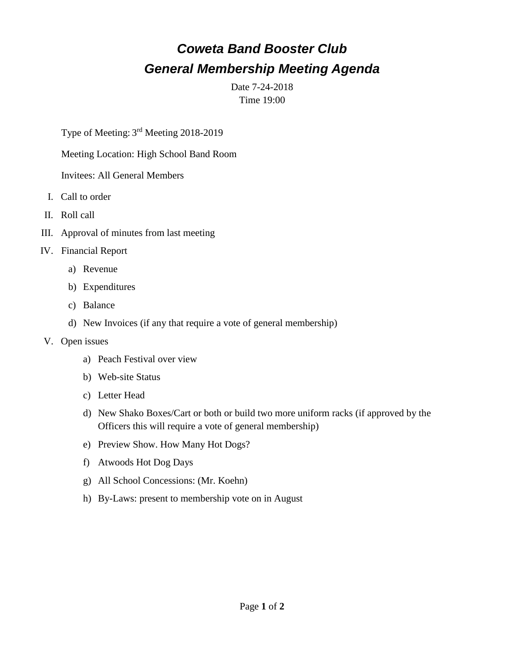# *Coweta Band Booster Club General Membership Meeting Agenda*

Date 7-24-2018 Time 19:00

Type of Meeting: 3<sup>rd</sup> Meeting 2018-2019

Meeting Location: High School Band Room

Invitees: All General Members

- I. Call to order
- II. Roll call
- III. Approval of minutes from last meeting
- IV. Financial Report
	- a) Revenue
	- b) Expenditures
	- c) Balance
	- d) New Invoices (if any that require a vote of general membership)
- V. Open issues
	- a) Peach Festival over view
	- b) Web-site Status
	- c) Letter Head
	- d) New Shako Boxes/Cart or both or build two more uniform racks (if approved by the Officers this will require a vote of general membership)
	- e) Preview Show. How Many Hot Dogs?
	- f) Atwoods Hot Dog Days
	- g) All School Concessions: (Mr. Koehn)
	- h) By-Laws: present to membership vote on in August